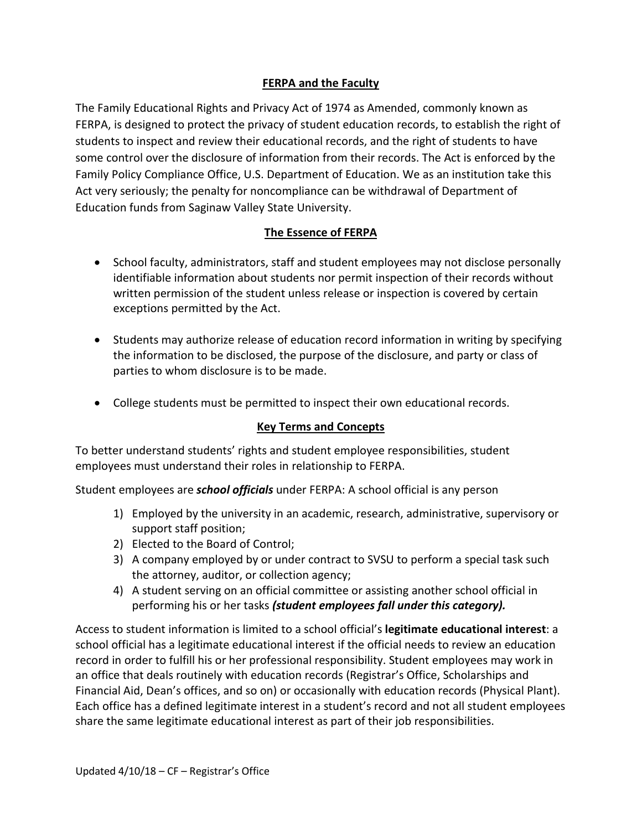## **FERPA and the Faculty**

The Family Educational Rights and Privacy Act of 1974 as Amended, commonly known as FERPA, is designed to protect the privacy of student education records, to establish the right of students to inspect and review their educational records, and the right of students to have some control over the disclosure of information from their records. The Act is enforced by the Family Policy Compliance Office, U.S. Department of Education. We as an institution take this Act very seriously; the penalty for noncompliance can be withdrawal of Department of Education funds from Saginaw Valley State University.

# **The Essence of FERPA**

- School faculty, administrators, staff and student employees may not disclose personally identifiable information about students nor permit inspection of their records without written permission of the student unless release or inspection is covered by certain exceptions permitted by the Act.
- Students may authorize release of education record information in writing by specifying the information to be disclosed, the purpose of the disclosure, and party or class of parties to whom disclosure is to be made.
- College students must be permitted to inspect their own educational records.

#### **Key Terms and Concepts**

To better understand students' rights and student employee responsibilities, student employees must understand their roles in relationship to FERPA.

Student employees are *school officials* under FERPA: A school official is any person

- 1) Employed by the university in an academic, research, administrative, supervisory or support staff position;
- 2) Elected to the Board of Control;
- 3) A company employed by or under contract to SVSU to perform a special task such the attorney, auditor, or collection agency;
- 4) A student serving on an official committee or assisting another school official in performing his or her tasks *(student employees fall under this category).*

Access to student information is limited to a school official's **legitimate educational interest**: a school official has a legitimate educational interest if the official needs to review an education record in order to fulfill his or her professional responsibility. Student employees may work in an office that deals routinely with education records (Registrar's Office, Scholarships and Financial Aid, Dean's offices, and so on) or occasionally with education records (Physical Plant). Each office has a defined legitimate interest in a student's record and not all student employees share the same legitimate educational interest as part of their job responsibilities.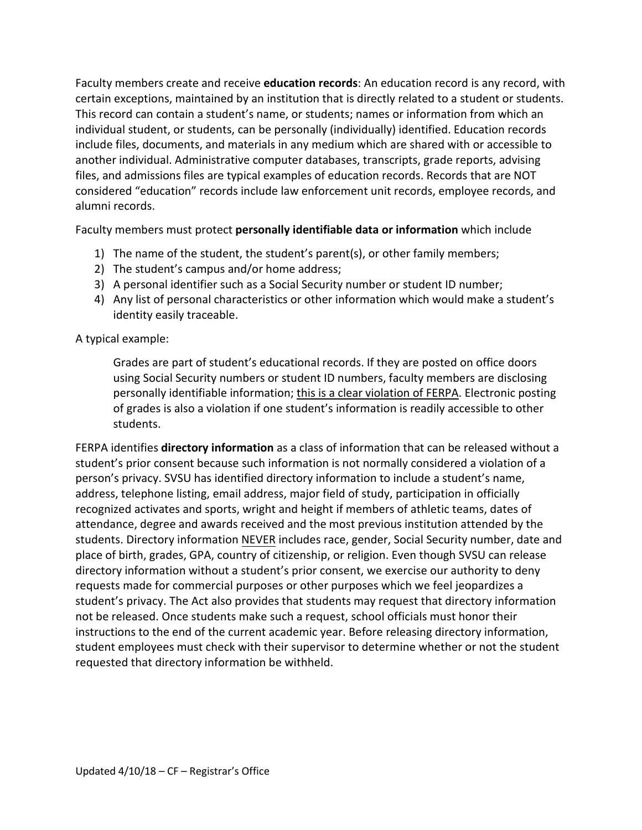Faculty members create and receive **education records**: An education record is any record, with certain exceptions, maintained by an institution that is directly related to a student or students. This record can contain a student's name, or students; names or information from which an individual student, or students, can be personally (individually) identified. Education records include files, documents, and materials in any medium which are shared with or accessible to another individual. Administrative computer databases, transcripts, grade reports, advising files, and admissions files are typical examples of education records. Records that are NOT considered "education" records include law enforcement unit records, employee records, and alumni records.

Faculty members must protect **personally identifiable data or information** which include

- 1) The name of the student, the student's parent(s), or other family members;
- 2) The student's campus and/or home address;
- 3) A personal identifier such as a Social Security number or student ID number;
- 4) Any list of personal characteristics or other information which would make a student's identity easily traceable.

A typical example:

Grades are part of student's educational records. If they are posted on office doors using Social Security numbers or student ID numbers, faculty members are disclosing personally identifiable information; this is a clear violation of FERPA. Electronic posting of grades is also a violation if one student's information is readily accessible to other students.

FERPA identifies **directory information** as a class of information that can be released without a student's prior consent because such information is not normally considered a violation of a person's privacy. SVSU has identified directory information to include a student's name, address, telephone listing, email address, major field of study, participation in officially recognized activates and sports, wright and height if members of athletic teams, dates of attendance, degree and awards received and the most previous institution attended by the students. Directory information NEVER includes race, gender, Social Security number, date and place of birth, grades, GPA, country of citizenship, or religion. Even though SVSU can release directory information without a student's prior consent, we exercise our authority to deny requests made for commercial purposes or other purposes which we feel jeopardizes a student's privacy. The Act also provides that students may request that directory information not be released. Once students make such a request, school officials must honor their instructions to the end of the current academic year. Before releasing directory information, student employees must check with their supervisor to determine whether or not the student requested that directory information be withheld.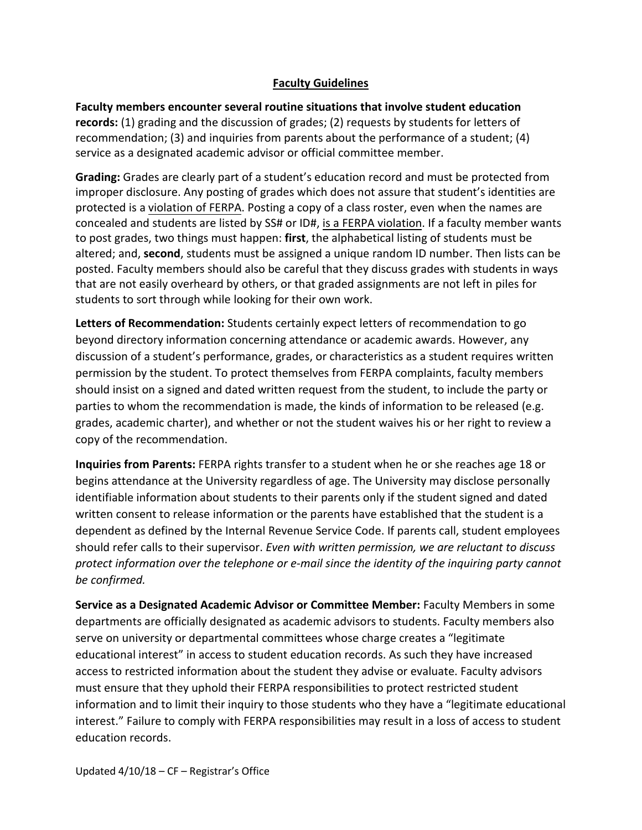#### **Faculty Guidelines**

**Faculty members encounter several routine situations that involve student education records:** (1) grading and the discussion of grades; (2) requests by students for letters of recommendation; (3) and inquiries from parents about the performance of a student; (4) service as a designated academic advisor or official committee member.

**Grading:** Grades are clearly part of a student's education record and must be protected from improper disclosure. Any posting of grades which does not assure that student's identities are protected is a violation of FERPA. Posting a copy of a class roster, even when the names are concealed and students are listed by SS# or ID#, is a FERPA violation. If a faculty member wants to post grades, two things must happen: **first**, the alphabetical listing of students must be altered; and, **second**, students must be assigned a unique random ID number. Then lists can be posted. Faculty members should also be careful that they discuss grades with students in ways that are not easily overheard by others, or that graded assignments are not left in piles for students to sort through while looking for their own work.

**Letters of Recommendation:** Students certainly expect letters of recommendation to go beyond directory information concerning attendance or academic awards. However, any discussion of a student's performance, grades, or characteristics as a student requires written permission by the student. To protect themselves from FERPA complaints, faculty members should insist on a signed and dated written request from the student, to include the party or parties to whom the recommendation is made, the kinds of information to be released (e.g. grades, academic charter), and whether or not the student waives his or her right to review a copy of the recommendation.

**Inquiries from Parents:** FERPA rights transfer to a student when he or she reaches age 18 or begins attendance at the University regardless of age. The University may disclose personally identifiable information about students to their parents only if the student signed and dated written consent to release information or the parents have established that the student is a dependent as defined by the Internal Revenue Service Code. If parents call, student employees should refer calls to their supervisor. *Even with written permission, we are reluctant to discuss protect information over the telephone or e-mail since the identity of the inquiring party cannot be confirmed.*

**Service as a Designated Academic Advisor or Committee Member:** Faculty Members in some departments are officially designated as academic advisors to students. Faculty members also serve on university or departmental committees whose charge creates a "legitimate educational interest" in access to student education records. As such they have increased access to restricted information about the student they advise or evaluate. Faculty advisors must ensure that they uphold their FERPA responsibilities to protect restricted student information and to limit their inquiry to those students who they have a "legitimate educational interest." Failure to comply with FERPA responsibilities may result in a loss of access to student education records.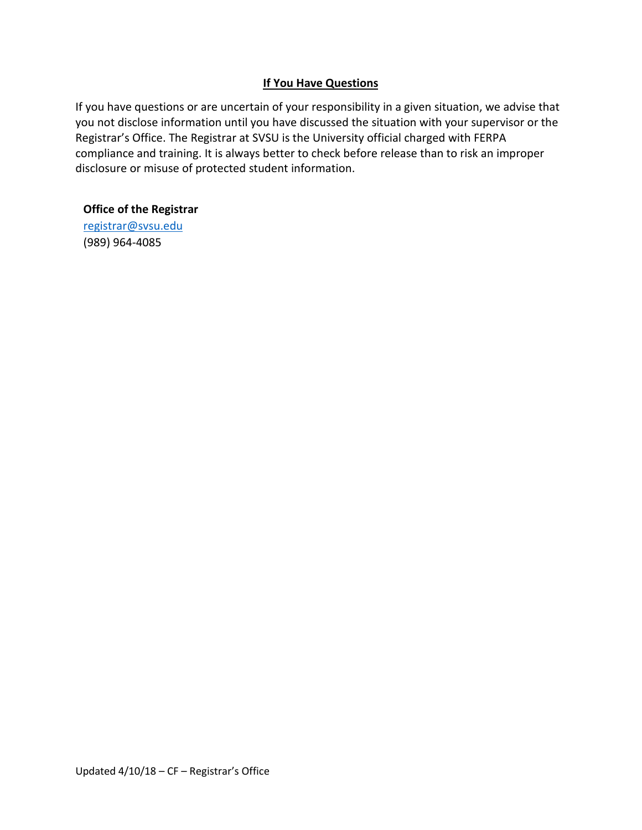## **If You Have Questions**

If you have questions or are uncertain of your responsibility in a given situation, we advise that you not disclose information until you have discussed the situation with your supervisor or the Registrar's Office. The Registrar at SVSU is the University official charged with FERPA compliance and training. It is always better to check before release than to risk an improper disclosure or misuse of protected student information.

#### **Office of the Registrar**

[registrar@svsu.edu](mailto:registrar@svsu.edu)  (989) 964-4085